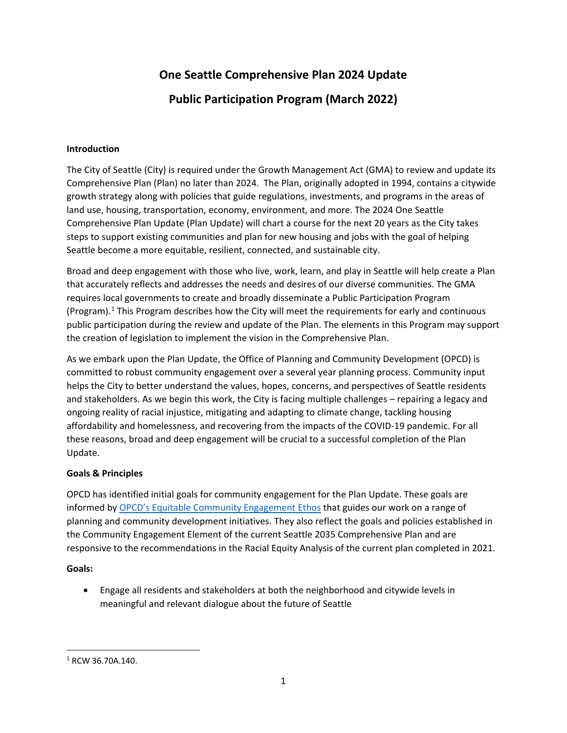# **One Seattle Comprehensive Plan 2024 Update**

# **Public Participation Program (March 2022)**

## **Introduction**

The City of Seattle (City) is required under the Growth Management Act (GMA) to review and update its Comprehensive Plan (Plan) no later than 2024. The Plan, originally adopted in 1994, contains a citywide growth strategy along with policies that guide regulations, investments, and programs in the areas of land use, housing, transportation, economy, environment, and more. The 2024 One Seattle Comprehensive Plan Update (Plan Update) will chart a course for the next 20 years as the City takes steps to support existing communities and plan for new housing and jobs with the goal of helping Seattle become a more equitable, resilient, connected, and sustainable city.

Broad and deep engagement with those who live, work, learn, and play in Seattle will help create a Plan that accurately reflects and addresses the needs and desires of our diverse communities. The GMA requires local governments to create and broadly disseminate a Public Participation Program (Program). [1](#page-0-0) This Program describes how the City will meet the requirements for early and continuous public participation during the review and update of the Plan. The elements in this Program may support the creation of legislation to implement the vision in the Comprehensive Plan.

As we embark upon the Plan Update, the Office of Planning and Community Development (OPCD) is committed to robust community engagement over a several year planning process. Community input helps the City to better understand the values, hopes, concerns, and perspectives of Seattle residents and stakeholders. As we begin this work, the City is facing multiple challenges – repairing a legacy and ongoing reality of racial injustice, mitigating and adapting to climate change, tackling housing affordability and homelessness, and recovering from the impacts of the COVID-19 pandemic. For all these reasons, broad and deep engagement will be crucial to a successful completion of the Plan Update.

# **Goals & Principles**

OPCD has identified initial goals for community engagement for the Plan Update. These goals are informed by [OPCD's Equitable Community Engagement Ethos](http://www.seattle.gov/opcd/about-us/equitable-community-engagement-ethos) that guides our work on a range of planning and community development initiatives. They also reflect the goals and policies established in the Community Engagement Element of the current Seattle 2035 Comprehensive Plan and are responsive to the recommendations in the Racial Equity Analysis of the current plan completed in 2021.

## **Goals:**

• Engage all residents and stakeholders at both the neighborhood and citywide levels in meaningful and relevant dialogue about the future of Seattle

<span id="page-0-0"></span><sup>1</sup> RCW 36.70A.140.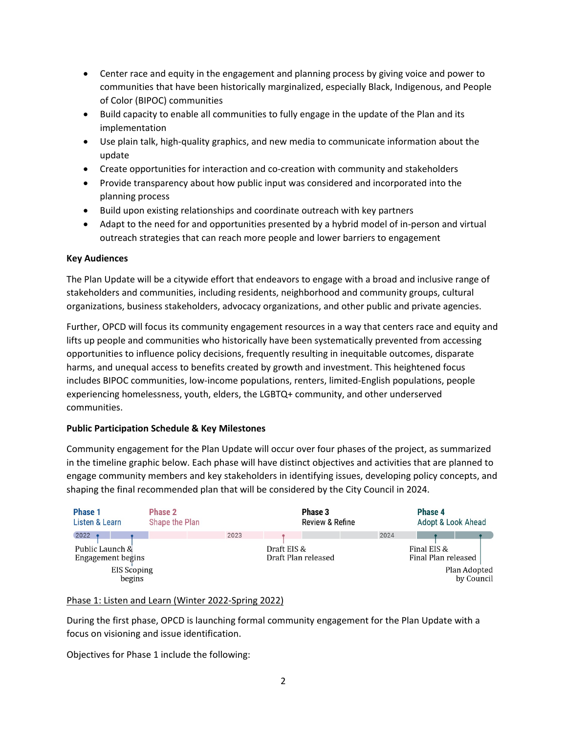- Center race and equity in the engagement and planning process by giving voice and power to communities that have been historically marginalized, especially Black, Indigenous, and People of Color (BIPOC) communities
- Build capacity to enable all communities to fully engage in the update of the Plan and its implementation
- Use plain talk, high-quality graphics, and new media to communicate information about the update
- Create opportunities for interaction and co-creation with community and stakeholders
- Provide transparency about how public input was considered and incorporated into the planning process
- Build upon existing relationships and coordinate outreach with key partners
- Adapt to the need for and opportunities presented by a hybrid model of in-person and virtual outreach strategies that can reach more people and lower barriers to engagement

# **Key Audiences**

The Plan Update will be a citywide effort that endeavors to engage with a broad and inclusive range of stakeholders and communities, including residents, neighborhood and community groups, cultural organizations, business stakeholders, advocacy organizations, and other public and private agencies.

Further, OPCD will focus its community engagement resources in a way that centers race and equity and lifts up people and communities who historically have been systematically prevented from accessing opportunities to influence policy decisions, frequently resulting in inequitable outcomes, disparate harms, and unequal access to benefits created by growth and investment. This heightened focus includes BIPOC communities, low-income populations, renters, limited-English populations, people experiencing homelessness, youth, elders, the LGBTQ+ community, and other underserved communities.

# **Public Participation Schedule & Key Milestones**

Community engagement for the Plan Update will occur over four phases of the project, as summarized in the timeline graphic below. Each phase will have distinct objectives and activities that are planned to engage community members and key stakeholders in identifying issues, developing policy concepts, and shaping the final recommended plan that will be considered by the City Council in 2024.



# Phase 1: Listen and Learn (Winter 2022-Spring 2022)

During the first phase, OPCD is launching formal community engagement for the Plan Update with a focus on visioning and issue identification.

Objectives for Phase 1 include the following: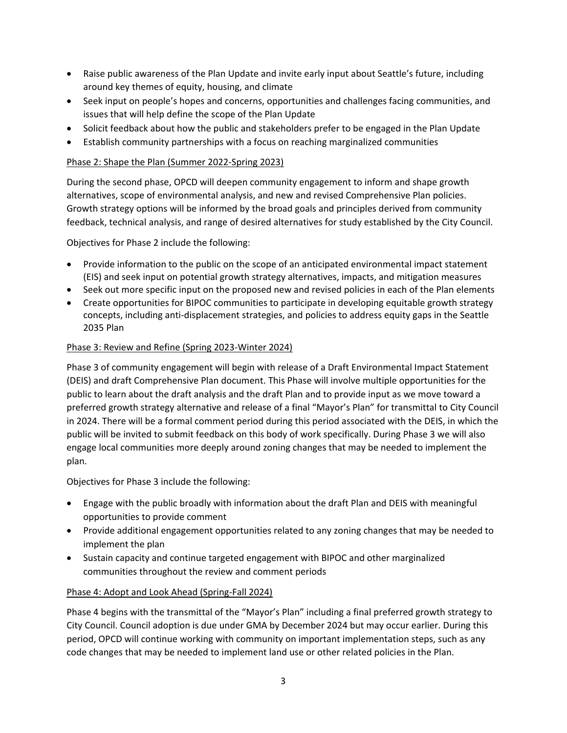- Raise public awareness of the Plan Update and invite early input about Seattle's future, including around key themes of equity, housing, and climate
- Seek input on people's hopes and concerns, opportunities and challenges facing communities, and issues that will help define the scope of the Plan Update
- Solicit feedback about how the public and stakeholders prefer to be engaged in the Plan Update
- Establish community partnerships with a focus on reaching marginalized communities

## Phase 2: Shape the Plan (Summer 2022-Spring 2023)

During the second phase, OPCD will deepen community engagement to inform and shape growth alternatives, scope of environmental analysis, and new and revised Comprehensive Plan policies. Growth strategy options will be informed by the broad goals and principles derived from community feedback, technical analysis, and range of desired alternatives for study established by the City Council.

Objectives for Phase 2 include the following:

- Provide information to the public on the scope of an anticipated environmental impact statement (EIS) and seek input on potential growth strategy alternatives, impacts, and mitigation measures
- Seek out more specific input on the proposed new and revised policies in each of the Plan elements
- Create opportunities for BIPOC communities to participate in developing equitable growth strategy concepts, including anti-displacement strategies, and policies to address equity gaps in the Seattle 2035 Plan

## Phase 3: Review and Refine (Spring 2023-Winter 2024)

Phase 3 of community engagement will begin with release of a Draft Environmental Impact Statement (DEIS) and draft Comprehensive Plan document. This Phase will involve multiple opportunities for the public to learn about the draft analysis and the draft Plan and to provide input as we move toward a preferred growth strategy alternative and release of a final "Mayor's Plan" for transmittal to City Council in 2024. There will be a formal comment period during this period associated with the DEIS, in which the public will be invited to submit feedback on this body of work specifically. During Phase 3 we will also engage local communities more deeply around zoning changes that may be needed to implement the plan.

Objectives for Phase 3 include the following:

- Engage with the public broadly with information about the draft Plan and DEIS with meaningful opportunities to provide comment
- Provide additional engagement opportunities related to any zoning changes that may be needed to implement the plan
- Sustain capacity and continue targeted engagement with BIPOC and other marginalized communities throughout the review and comment periods

## Phase 4: Adopt and Look Ahead (Spring-Fall 2024)

Phase 4 begins with the transmittal of the "Mayor's Plan" including a final preferred growth strategy to City Council. Council adoption is due under GMA by December 2024 but may occur earlier. During this period, OPCD will continue working with community on important implementation steps, such as any code changes that may be needed to implement land use or other related policies in the Plan.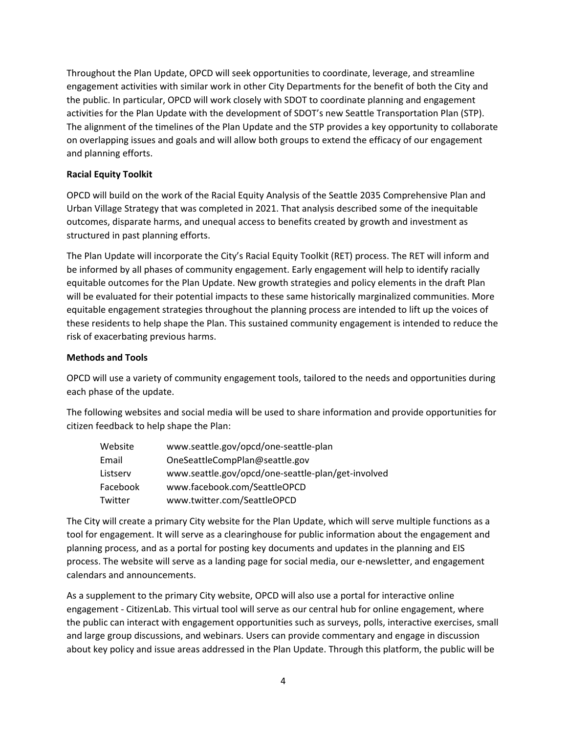Throughout the Plan Update, OPCD will seek opportunities to coordinate, leverage, and streamline engagement activities with similar work in other City Departments for the benefit of both the City and the public. In particular, OPCD will work closely with SDOT to coordinate planning and engagement activities for the Plan Update with the development of SDOT's new Seattle Transportation Plan (STP). The alignment of the timelines of the Plan Update and the STP provides a key opportunity to collaborate on overlapping issues and goals and will allow both groups to extend the efficacy of our engagement and planning efforts.

## **Racial Equity Toolkit**

OPCD will build on the work of the Racial Equity Analysis of the Seattle 2035 Comprehensive Plan and Urban Village Strategy that was completed in 2021. That analysis described some of the inequitable outcomes, disparate harms, and unequal access to benefits created by growth and investment as structured in past planning efforts.

The Plan Update will incorporate the City's Racial Equity Toolkit (RET) process. The RET will inform and be informed by all phases of community engagement. Early engagement will help to identify racially equitable outcomes for the Plan Update. New growth strategies and policy elements in the draft Plan will be evaluated for their potential impacts to these same historically marginalized communities. More equitable engagement strategies throughout the planning process are intended to lift up the voices of these residents to help shape the Plan. This sustained community engagement is intended to reduce the risk of exacerbating previous harms.

## **Methods and Tools**

OPCD will use a variety of community engagement tools, tailored to the needs and opportunities during each phase of the update.

The following websites and social media will be used to share information and provide opportunities for citizen feedback to help shape the Plan:

| Website  | www.seattle.gov/opcd/one-seattle-plan              |
|----------|----------------------------------------------------|
| Email    | OneSeattleCompPlan@seattle.gov                     |
| Listserv | www.seattle.gov/opcd/one-seattle-plan/get-involved |
| Facebook | www.facebook.com/SeattleOPCD                       |
| Twitter  | www.twitter.com/SeattleOPCD                        |

The City will create a primary City website for the Plan Update, which will serve multiple functions as a tool for engagement. It will serve as a clearinghouse for public information about the engagement and planning process, and as a portal for posting key documents and updates in the planning and EIS process. The website will serve as a landing page for social media, our e-newsletter, and engagement calendars and announcements.

As a supplement to the primary City website, OPCD will also use a portal for interactive online engagement - CitizenLab. This virtual tool will serve as our central hub for online engagement, where the public can interact with engagement opportunities such as surveys, polls, interactive exercises, small and large group discussions, and webinars. Users can provide commentary and engage in discussion about key policy and issue areas addressed in the Plan Update. Through this platform, the public will be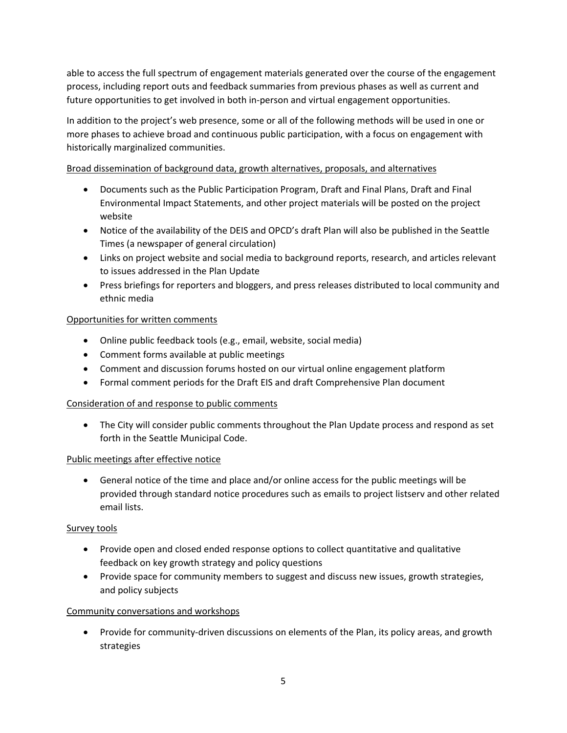able to access the full spectrum of engagement materials generated over the course of the engagement process, including report outs and feedback summaries from previous phases as well as current and future opportunities to get involved in both in-person and virtual engagement opportunities.

In addition to the project's web presence, some or all of the following methods will be used in one or more phases to achieve broad and continuous public participation, with a focus on engagement with historically marginalized communities.

# Broad dissemination of background data, growth alternatives, proposals, and alternatives

- Documents such as the Public Participation Program, Draft and Final Plans, Draft and Final Environmental Impact Statements, and other project materials will be posted on the project website
- Notice of the availability of the DEIS and OPCD's draft Plan will also be published in the Seattle Times (a newspaper of general circulation)
- Links on project website and social media to background reports, research, and articles relevant to issues addressed in the Plan Update
- Press briefings for reporters and bloggers, and press releases distributed to local community and ethnic media

## Opportunities for written comments

- Online public feedback tools (e.g., email, website, social media)
- Comment forms available at public meetings
- Comment and discussion forums hosted on our virtual online engagement platform
- Formal comment periods for the Draft EIS and draft Comprehensive Plan document

## Consideration of and response to public comments

• The City will consider public comments throughout the Plan Update process and respond as set forth in the Seattle Municipal Code.

## Public meetings after effective notice

• General notice of the time and place and/or online access for the public meetings will be provided through standard notice procedures such as emails to project listserv and other related email lists.

## Survey tools

- Provide open and closed ended response options to collect quantitative and qualitative feedback on key growth strategy and policy questions
- Provide space for community members to suggest and discuss new issues, growth strategies, and policy subjects

## Community conversations and workshops

• Provide for community-driven discussions on elements of the Plan, its policy areas, and growth strategies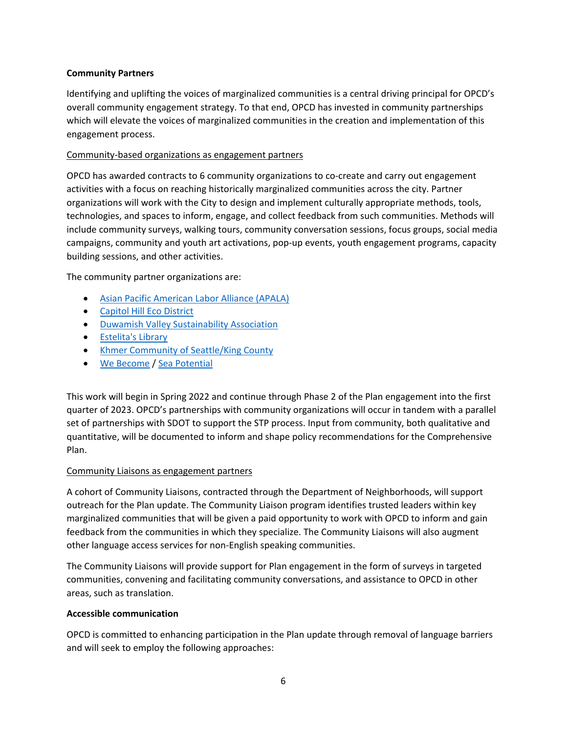## **Community Partners**

Identifying and uplifting the voices of marginalized communities is a central driving principal for OPCD's overall community engagement strategy. To that end, OPCD has invested in community partnerships which will elevate the voices of marginalized communities in the creation and implementation of this engagement process.

## Community-based organizations as engagement partners

OPCD has awarded contracts to 6 community organizations to co-create and carry out engagement activities with a focus on reaching historically marginalized communities across the city. Partner organizations will work with the City to design and implement culturally appropriate methods, tools, technologies, and spaces to inform, engage, and collect feedback from such communities. Methods will include community surveys, walking tours, community conversation sessions, focus groups, social media campaigns, community and youth art activations, pop-up events, youth engagement programs, capacity building sessions, and other activities.

The community partner organizations are:

- [Asian Pacific American Labor Alliance \(APALA\)](https://www.apalanet.org/)
- [Capitol Hill Eco District](https://www.capitolhillecodistrict.org/)
- [Duwamish Valley Sustainability Association](https://sustainableseattle.org/dvsa/)
- [Estelita's Library](https://estelitaslibrary.com/)
- [Khmer Community of Seattle/King County](https://www.kcskc.org/)
- [We Become](https://webecomelab.com/about) / [Sea Potential](https://www.letsseapotential.com/)

This work will begin in Spring 2022 and continue through Phase 2 of the Plan engagement into the first quarter of 2023. OPCD's partnerships with community organizations will occur in tandem with a parallel set of partnerships with SDOT to support the STP process. Input from community, both qualitative and quantitative, will be documented to inform and shape policy recommendations for the Comprehensive Plan.

## Community Liaisons as engagement partners

A cohort of Community Liaisons, contracted through the Department of Neighborhoods, will support outreach for the Plan update. The Community Liaison program identifies trusted leaders within key marginalized communities that will be given a paid opportunity to work with OPCD to inform and gain feedback from the communities in which they specialize. The Community Liaisons will also augment other language access services for non-English speaking communities.

The Community Liaisons will provide support for Plan engagement in the form of surveys in targeted communities, convening and facilitating community conversations, and assistance to OPCD in other areas, such as translation.

## **Accessible communication**

OPCD is committed to enhancing participation in the Plan update through removal of language barriers and will seek to employ the following approaches: